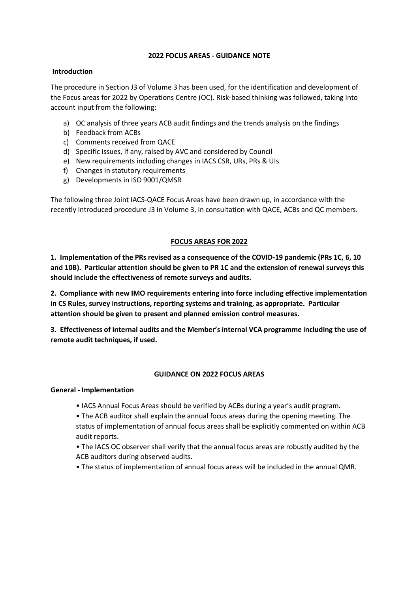# **2022 FOCUS AREAS - GUIDANCE NOTE**

# **Introduction**

The procedure in Section J3 of Volume 3 has been used, for the identification and development of the Focus areas for 2022 by Operations Centre (OC). Risk-based thinking was followed, taking into account input from the following:

- a) OC analysis of three years ACB audit findings and the trends analysis on the findings
- b) Feedback from ACBs
- c) Comments received from QACE
- d) Specific issues, if any, raised by AVC and considered by Council
- e) New requirements including changes in IACS CSR, URs, PRs & UIs
- f) Changes in statutory requirements
- g) Developments in ISO 9001/QMSR

The following three Joint IACS-QACE Focus Areas have been drawn up, in accordance with the recently introduced procedure J3 in Volume 3, in consultation with QACE, ACBs and QC members.

# **FOCUS AREAS FOR 2022**

**1. Implementation of the PRs revised as a consequence of the COVID-19 pandemic (PRs 1C, 6, 10 and 10B). Particular attention should be given to PR 1C and the extension of renewal surveys this should include the effectiveness of remote surveys and audits.**

**2. Compliance with new IMO requirements entering into force including effective implementation in CS Rules, survey instructions, reporting systems and training, as appropriate. Particular attention should be given to present and planned emission control measures.**

**3. Effectiveness of internal audits and the Member's internal VCA programme including the use of remote audit techniques, if used.**

# **GUIDANCE ON 2022 FOCUS AREAS**

# **General - Implementation**

• IACS Annual Focus Areas should be verified by ACBs during a year's audit program.

• The ACB auditor shall explain the annual focus areas during the opening meeting. The status of implementation of annual focus areas shall be explicitly commented on within ACB audit reports.

• The IACS OC observer shall verify that the annual focus areas are robustly audited by the ACB auditors during observed audits.

• The status of implementation of annual focus areas will be included in the annual QMR.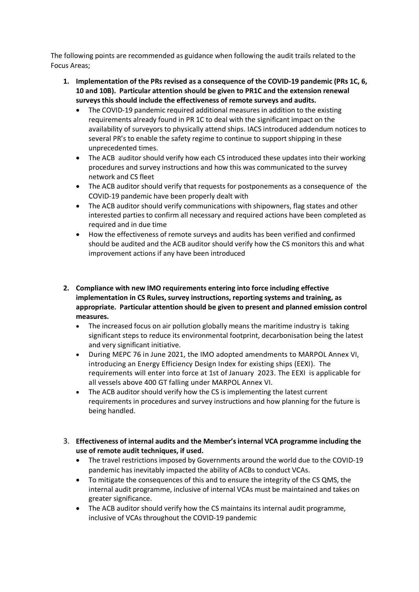The following points are recommended as guidance when following the audit trails related to the Focus Areas;

- **1. Implementation of the PRs revised as a consequence of the COVID-19 pandemic (PRs 1C, 6, 10 and 10B). Particular attention should be given to PR1C and the extension renewal surveys this should include the effectiveness of remote surveys and audits.**
	- The COVID-19 pandemic required additional measures in addition to the existing requirements already found in PR 1C to deal with the significant impact on the availability of surveyors to physically attend ships. IACS introduced addendum notices to several PR's to enable the safety regime to continue to support shipping in these unprecedented times.
	- The ACB auditor should verify how each CS introduced these updates into their working procedures and survey instructions and how this was communicated to the survey network and CS fleet
	- The ACB auditor should verify that requests for postponements as a consequence of the COVID-19 pandemic have been properly dealt with
	- The ACB auditor should verify communications with shipowners, flag states and other interested parties to confirm all necessary and required actions have been completed as required and in due time
	- How the effectiveness of remote surveys and audits has been verified and confirmed should be audited and the ACB auditor should verify how the CS monitors this and what improvement actions if any have been introduced
- **2. Compliance with new IMO requirements entering into force including effective implementation in CS Rules, survey instructions, reporting systems and training, as appropriate. Particular attention should be given to present and planned emission control measures.**
	- The increased focus on air pollution globally means the maritime industry is taking significant steps to reduce its environmental footprint, decarbonisation being the latest and very significant initiative.
	- During MEPC 76 in June 2021, the IMO adopted amendments to MARPOL Annex VI, introducing an Energy Efficiency Design Index for existing ships (EEXI). The requirements will enter into force at 1st of January 2023. The EEXI is applicable for all vessels above 400 GT falling under MARPOL Annex VI.
	- The ACB auditor should verify how the CS is implementing the latest current requirements in procedures and survey instructions and how planning for the future is being handled.
- 3. **Effectiveness of internal audits and the Member's internal VCA programme including the use of remote audit techniques, if used.**
	- The travel restrictions imposed by Governments around the world due to the COVID-19 pandemic has inevitably impacted the ability of ACBs to conduct VCAs.
	- To mitigate the consequences of this and to ensure the integrity of the CS QMS, the internal audit programme, inclusive of internal VCAs must be maintained and takes on greater significance.
	- The ACB auditor should verify how the CS maintains its internal audit programme, inclusive of VCAs throughout the COVID-19 pandemic